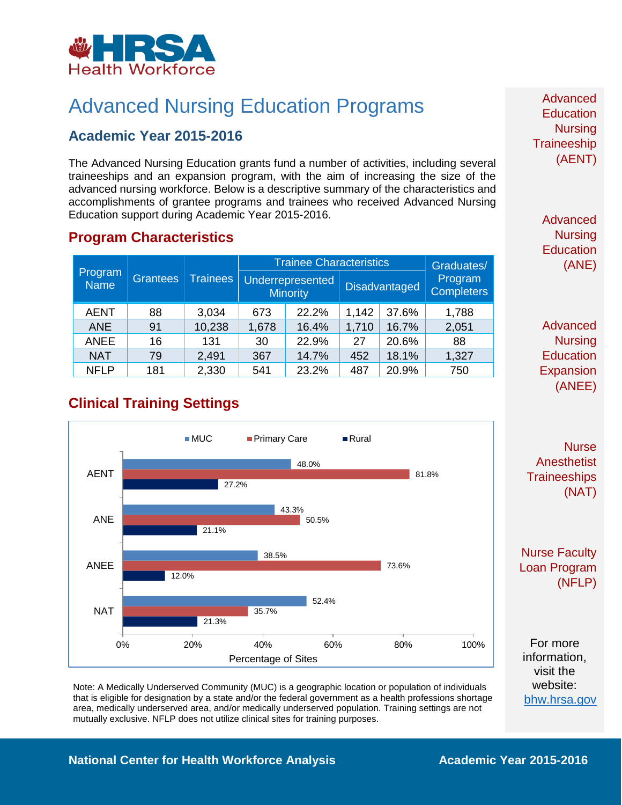

# Advanced Nursing Education Programs

## **Academic Year 2015-2016**

The Advanced Nursing Education grants fund a number of activities, including several traineeships and an expansion program, with the aim of increasing the size of the advanced nursing workforce. Below is a descriptive summary of the characteristics and accomplishments of grantee programs and trainees who received Advanced Nursing Education support during Academic Year 2015-2016.

#### **Program Characteristics**

|  | Program<br><b>Name</b> | <b>Grantees</b> | <b>Trainees</b> | <b>Trainee Characteristics</b> |                                     |       |                      | Graduates/                   |
|--|------------------------|-----------------|-----------------|--------------------------------|-------------------------------------|-------|----------------------|------------------------------|
|  |                        |                 |                 |                                | Underrepresented<br><b>Minority</b> |       | <b>Disadvantaged</b> | Program<br><b>Completers</b> |
|  | <b>AENT</b>            | 88              | 3,034           | 673                            | 22.2%                               | 1,142 | 37.6%                | 1,788                        |
|  | <b>ANE</b>             | 91              | 10,238          | 1,678                          | 16.4%                               | 1,710 | 16.7%                | 2,051                        |
|  | <b>ANEE</b>            | 16              | 131             | 30                             | 22.9%                               | 27    | 20.6%                | 88                           |
|  | <b>NAT</b>             | 79              | 2,491           | 367                            | 14.7%                               | 452   | 18.1%                | 1,327                        |
|  | <b>NFLP</b>            | 181             | 2,330           | 541                            | 23.2%                               | 487   | 20.9%                | 750                          |

**Clinical Training Settings**



Note: A Medically Underserved Community (MUC) is a geographic location or population of individuals that is eligible for designation by a state and/or the federal government as a health professions shortage area, medically underserved area, and/or medically underserved population. Training settings are not mutually exclusive. NFLP does not utilize clinical sites for training purposes.

Advanced **Education Nursing Traineeship** (AENT)

> Advanced **Nursing Education** (ANE)

Advanced **Nursing Education** Expansion (ANEE)

**Nurse Anesthetist Traineeships** (NAT)

Nurse Faculty Loan Program (NFLP)

For more information, visit the website: [bhw.hrsa.gov](http://bhw.hrsa.gov/)

#### **National Center for Health Workforce Analysis <b>Academic Year 2015-2016**